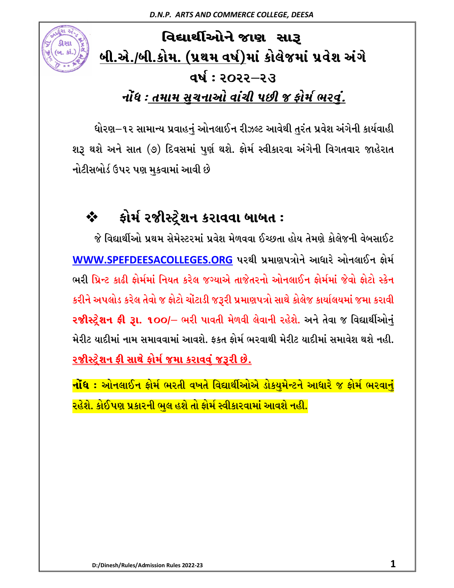# વિદ્યાર્થીઓને જાણ સારૂ <u>બી.એ./બી.કોમ. (પ્રથમ વર્ષ)</u>માં કોલેજમાં પ્રવેશ અંગે **વર્ષ: ૨૦૨૨–૨૩** *નોંધ : <u>તમામ સચનાઓ વાંચી</u> પછી જ ફોર્મ ભરવં.*

ધોરણ–૧૨ સામાન્ય પ્રવાહનું ઓનલાઈન રીઝલ્ટ આવેથી તુરંત પ્રવેશ અંગેની કાર્યવાહી શરૂ થશે અને સાત (૭) દિવસમાં પુર્ણ થશે. ફોર્મ સ્વીકારવા અંગેની વિગતવાર જાહેરાત નોટીસબોર્ડ ઉપર પણ મુકવામાં આવી છે

## **❖ કોર્મ રજીસ્ટ્રેશન કરાવવા બાબત :**

જે વિદ્યાર્થીઓ પ્રથમ સેમેસ્ટરમાં પ્રવેશ મેળવવા ઈચ્છતા હોય તેમણે કોલેજની વેબસાઈટ WWW.SPEFDEESACOLLEGES.ORG પરથી પ્રમાણપત્રોને આધારે ઓનલાઈન ફોર્મ ભરી પ્રિન્ટ કાઢી કોર્મમાં નિયત કરેલ જગ્યાએ તાજેતરનો ઓનલાઈન કોર્મમાં જેવો કોટો સ્કેન કરીને અપલોડ કરેલ તેવો જ ફોટો ચોંટાડી જરૂરી પ્રમાણપત્રો સાથે કોલેજ કાર્યાલયમાં જમા કરાવી **રજીોસ્ટ્રેશન ફી રૂા. ૧૦૦/**– ભરી પાવતી મેળવી લેવાની રહેશે. અને તેવા જ વિદ્યાર્થીઓનું મેરીટ યાદીમાં નામ સમાવવામાં આવશે. કકત કોર્મ ભરવાથી મેરીટ યાદીમાં સમાવેશ થશે નહી. <u>રજીસ્ટેશન ફી સાથે ફોર્મ જમા કરાવવં જરૂરી છે.</u>

<mark>નોંધ : ઓનલાઈન ફોર્મ ભરતી વખતે વિદ્યાર્થીઓએ ડોક્યુમેન્ટને આધારે જ ફોર્મ ભરવાન</mark>ં <mark>રહેશે. કોઈપણ પ્રકારની ભુલ હશે તો ફોર્મ સ્વીકારવામાં આવશે નહી.</mark>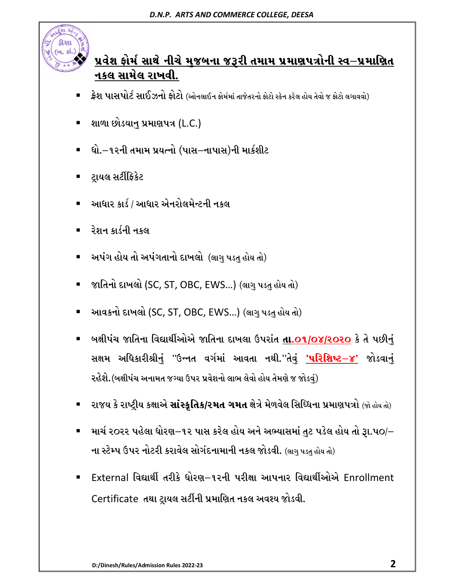

#### <u>પ્રવેશ ફોર્મ સાથે નીચે મુજબના જરૂરી તમામ પ્રમાણપત્રોની સ્વ-પ્રમાણિત</u> <u>નકલ સામેલ રાખવી.</u>

- -ફ્રેશ પાસપોર્ટ સાઈઝનો ફોટો (ઓનલાઈન ફોર્મમાં તાજેતરનો ફોટો સ્કેન કરેલ હોય તેવો જ ફોટો લગાવવો)
- -શાળા છોડયાન પ્રમાણપત્ર (L.C.)
- -ધો.–૧૨ની તમામ પ્રયત્નો (પાસ–નાપાસ)ની માર્કશીટ
- -ટ્રાયલ સર્ટીફિકેટ
- -આધાર કાર્ડ / આધાર એનરોલમેન્ટની નકલ
- -રેશન કાર્ડની નકલ
- -અપંગ હોય તો અપંગતાનો દાખલો *(*લાગ પડત હોય તો)
- -જાતિનો દાખલો (SC, ST, OBC, EWS...) (લાગુ પડતુ હોય તો)
- -આવકનો દાખલો (SC, ST, OBC, EWS...) (લાગુ પડતુ હોય તો)
- -બક્ષીપંચ જાતિના વિદ્યાર્થીઓએ જાતિના દાખલા ઉપરાંત **તા.o૧/o૪/૨૦૨૦** કે તે પછી<u>ન</u>ં સક્ષમ અધિકારીશ્રી<u>નું</u> ''ઉન્નત વર્ગમાં આવતા નથી.''તેવું **'પરિશિષ્ટ** $-\mathbf{\check{\varepsilon}}$ **'** જોડવાનું ૨હેશે.(બક્ષીપંચ અનામત જગ્યા ઉપર પ્રવેશનો લાભ લેવો હોય તેમણે જ જોડવં)
- -રાજય કે રાષ્ટ્રીય કક્ષાએ **સાંસ્કૃતિક/રમત ગમત** ક્ષેત્રે મેળવેલ સિધ્ધિના પ્રમાણપત્રો (જો હોય તો)
- -માર્ચ ૨૦૨૨ પહેલા ધોરણ $-$ ૧૨ પાસ કરેલ હોય અને અભ્યાસમાં તુટ પડેલ હોય તો રૂા.૫૦/ $-$ ના સ્ટેમ્પ ઉપર નોટરી કરાવેલ સોગંદનામાની નકલ જોડવી. (લાગુ પડતુ હોય તો)
- -External વિદ્યાર્થી તરીકે ધોરણ–૧૨ની પરીક્ષા આપનાર વિદ્યાર્થીઓએ Enrollment Certificate તથા ટ્રાયલ સર્ટીની પ્રમાણિત નકલ અવશ્ય જોડવી.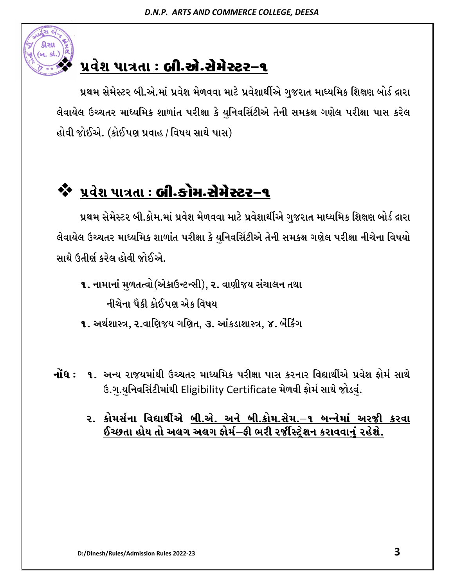

## પ્રવેશ પાત્રતા : **બી.એ.સેમેસ્ટર-૧**

પ્રથમ સેમેસ્ટર બી.એ.માં પ્રવેશ મેળવવા માટે પ્રવેશાર્થીએ ગુજરાત માધ્યમિક શિક્ષણ બોર્ડ દ્રારા લેવાયેલ ઉચ્ચતર માધ્યમિક શાળાંત પરીક્ષા કે યુનિવર્સિટીએ તેની સમકક્ષ ગણેલ પરીક્ષા પાસ કરેલ હોવી જોઈએ. (કોઈપણ પ્રવાહ / વિષય સાથે પાસ)

# **\$\*** પ્રવેશ પાત્રતા : **બી.કોમ.સેમેસ્ટર-૧**

પ્રથમ સેમેસ્ટર બી.કોમ.માં પ્રવેશ મેળવવા માટે પ્રવેશાર્થીએ ગજરાત માધ્યમિક શિક્ષણ બોર્ડ દ્રારા લેવાયેલ ઉચ્ચતર માધ્યમિક શાળાંત પરીક્ષા કે યુનિવર્સિટીએ તેની સમકક્ષ ગણેલ પરીક્ષા નીચેના વિષયો સાથે ઉતીર્ણ કરેલ હોવી જોઈએ.

1. નામાનાં મુળતત્વો(એકાઉન્ટન્સી), ૨. વાણીજય સંચાલન તથા નીચેના પૈકી કોઈપણ એક વિષય

**૧.** અર્થશાસ્ત્ર, ૨.વાણિજય ગણિત, ૩. આંકડાશાસ્ત્ર, ૪. બેંકિંગ

- **નોંધ : ૧.** અન્ય રાજયમાંથી ઉચ્ચતર માધ્યમિક પરીક્ષા પાસ કરનાર વિદ્યાર્થીએ પ્રવેશ કોર્મ સાથે ઉ.ગ.યનિવર્સિટીમાંથી Eligibility Certificate મેળવી ફોર્મ સાથે જોડવં.
	- <u>ર. કોમર્સના વિદ્યાર્થીએ <u>બી.એ. અને બી.કોમ.સેમ.–૧ બન્નેમાં અરજી કરવા</u></u>  $\,$ ઈચ્છતા હોય તો અલગ અલગ ફોર્મ $-$ ફી ભરી રર્જીસ્ટ્રેશન કરાવવાનું રહેશે.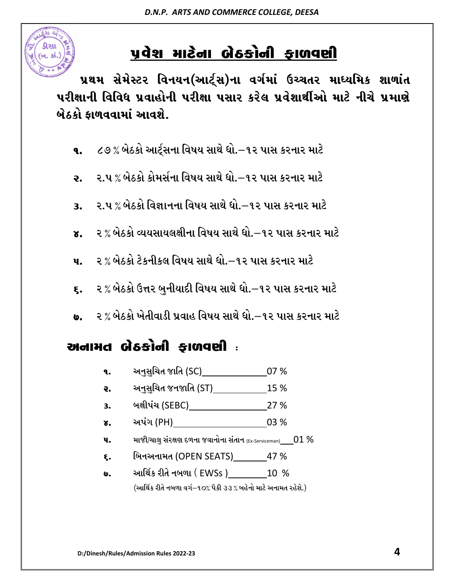

પ્રથમ સેમેસ્ટર વિનયન(આર્ટ્સ)ના વર્ગમાં ઉચ્ચતર માધ્યમિક શાળાંત પરીક્ષાની વિવિધ પ્રવાહોની પરીક્ષા પસાર કરેલ પ્રવેશાર્થીઓ માટે નીચે પ્રમા<mark>ણે</mark> <u>બેઠકો કાળવવામાં આવશે.</u>

- ૧. ૮૭% બેઠકો આર્ટ્સના વિષય સાથે ધો. $-$ ૧૨ પાસ કરનાર માટે
- ૨. ૨.૫ % બેઠકો કોમર્સના વિષય સાથે ધો.–૧૨ પાસ કરનાર માટે
- 3. ૨.૫ % બેઠકો વિજ્ઞાનના વિષય સાથે ધો.–૧૨ પાસ કરનાર માટે
- ૪. ૨ % બેઠકો વ્યયસાયલક્ષીના વિષય સાથે ધો.–૧૨ પાસ કરનાર માટે
- **૫.** ર % બેઠકો ટેકનીકલ વિષય સાથે ધો.–૧૨ પાસ કરનાર માટે
- **૬.** ર % બેઠકો ઉત્તર બુનીયાદી વિષય સાથે ધો.–૧૨ પાસ કરનાર માટે
- <u>૦. ૨ % બેઠકો ખેતીવાડી પ્રવાહ વિષય સાથે ધો. $-$ ૧૨ પાસ કરનાર માટે </u>

#### **VGFDT A[9SMGL OF/J6L <sup>o</sup>**

 $(\omega_1, \omega_1)$ 

- $\bullet$ . અનુસુચિત જાતિ (SC)  $\qquad \qquad 07 \%$
- **૨.** અનુસુચિત જનજાતિ (ST)  $15\%$
- 3. બક્ષીપંચ (SEBC) 27%
- ૪. અપંગ (PH)  $03\%$
- $\mathbf{u}$ . માજીી/ચાલુ સંરક્ષણ દળના જવાનોના સંતાન (Ex-Serviceman) 01 %
- $\epsilon$ . બિનઅનામત (OPEN SEATS) 47 %
- $\cdot$  આર્થિક રીતે નબળા (EWSs ) 20 %

(આર્થિક રીતે નબળા વર્ગ−૧૦% પૈકી ૩૩ % બહેનો માટે અનામત રહેશે.)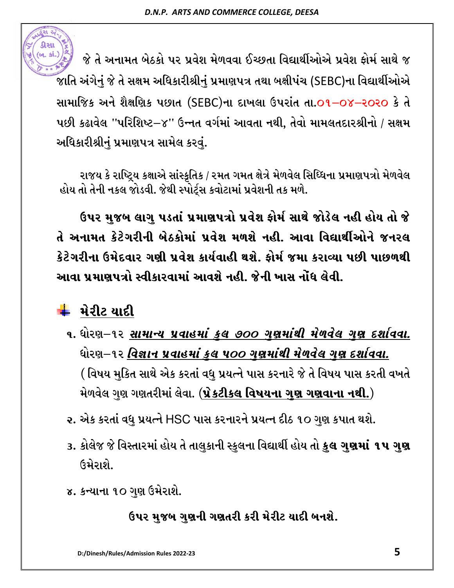

જે તે અનામત બેઠકો પર પ્રવેશ મેળવવા ઈચ્છતા વિદ્યાર્થીઓએ પ્રવેશ ફોર્મ સાથે જ જાતિ અંગેનું જે તે સક્ષમ અધિકારીશ્રીનું પ્રમાણપત્ર તથા બક્ષીપંચ (SEBC)ના વિદ્યાર્થીઓએ સામાજિક અને શૈક્ષણિક પછાત (SEBC)ના દાખલા ઉપરાંત તા.01–0૪–૨૦૨૦ કે તે પછી કઢાવેલ ''પરિશિષ્ટ $-$ ૪'' ઉન્નત વર્ગમાં આવતા નથી, તેવો મામલતદારશ્રીનો / સક્ષમ અધિકારીશ્રીનું પ્રમાણપત્ર સામેલ કરવું.

રાજય કે રાષ્ટ્રિય કક્ષાએ સાંસ્ક્રતિક / રમત ગમત ક્ષેત્રે મેળવેલ સિધ્ધિના પ્રમાણપત્રો મેળવેલ હોય તો તેની નકલ જોડવી. જેથી સ્પોર્ટ્સ કવોટામાં પ્રવેશની તક મળે.

ઉપર <u>મ</u>જબ લાગુ પડતાં પ્રમાણપત્રો પ્રવેશ ફોર્મ સાથે જોડેલ નહી હોય તો જે તે અનામત કેટેગરીની બેઠકોમાં પ્રવેશ મળશે નહી. આવા વિદ્યાર્થીઓને જનરલ કેટેગરીના ઉમેદવાર ગણી પ્રવેશ કાર્યવાહી થશે. કોર્મ જમા કરાવ્યા પછી પાછળથી <u>આવા પમાણપત્રો સ્વીકારવામાં આવશે નહી. જેની ખાસ નોંધ લેવી.</u>

### <mark>↓</mark> મેરીટ યાદી

- ૧. ધોરણ $-$ ૧૨ <u>*સામાન્ય પ્રવાહમાં કુલ ૭૦૦ ગુણમાંથી મેળવેલ ગુણ દર્શાવવા.*</u> ધોરણ–૧૨ <u>વિજ્ઞાન પ્રવાહમાં કલ ૫૦૦ ગણમાંથી મેળવેલ ગણ દર્શાવવા.</u> ( વિષય મુકિત સાથે એક કરતાં વધુ પ્રયત્ને પાસ કરનારે જે તે વિષય પાસ કરતી વખતે <u>મેળવેલ ગુણ ગણતરીમાં લેવા. (પ્રેક્રટીકલ વિષયના ગણ ગણવાના નથી.)</u>
- ૨. એક કરતાં વધુ પ્રયત્ને HSC પાસ કરનારને પ્રયત્ન દીઠ ૧૦ ગુણ કપાત થશે.
- ૩. કોલેજ જે વિસ્તારમાં હોય તે તાલુકાની સ્કુલના વિદ્યાર્થી હોય તો **કુલ ગુણમાં ૧૫ ગુણ**  $(34)$
- ૪. કન્યાના ૧૦ ગણ ઉમેરાશે.

ઉપર મુજબ ગુ**ણની ગણતરી કરી મેરીટ યાદી બનશે**.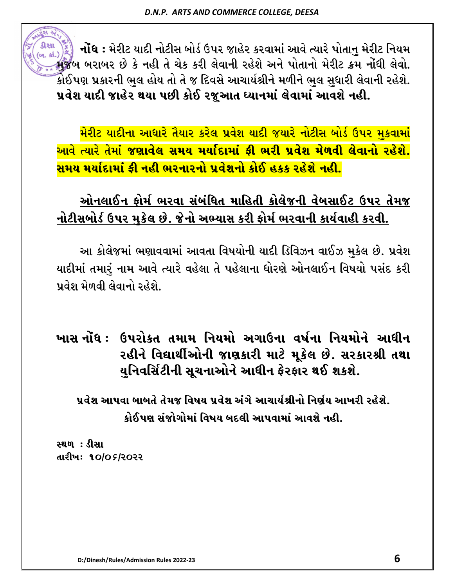**નોંધ** : મેરીટ યાદી નોટીસ બોર્ડ ઉપર જાહેર કરવામાં આવે ત્યારે પોતાનુ મેરીટ નિયમ D]HA AZFAZ K[ S[ GCL T[ R[S SZL ,[JFGL ZC[X[ VG[ 5MTFGM D[ZL8 S|D GM\WL ,[JMP કોઈપણ પ્રકારની ભુલ હોય તો તે જ દિવસે આચાર્યશ્રીને મળીને ભુલ સુધારી લેવાની રહેશે. પ્રવેશ યાદી જાહેર થયા પછી કોઈ રજુઆત ધ્યાનમાં લેવામાં આવશે નહી.

મેરીટ યાદીના આધારે તૈયાર કરેલ પ્રવેશ યાદી જયારે નોટીસ બોર્ડ ઉપર મકવામાં <u>આવે ત્યારે તેમાં જણાવેલ સમય મર્યાદામાં ફી ભરી પ્રવેશ મેળવી લેવાનો રહેશે.</u> <mark>સમય મર્યાદામાં કી નહી ભરનારનો પ્રવેશનો કોઈ હકક રહેશે નહી.</mark>

### <u>ઓનલાઈન ફોર્મ ભરવા સંબંધિત માહિતી કોલેજની વેબસાઈટ ઉપર તેમજ</u> નોટીસબોર્ડ ઉપર મુકેલ છે. જેનો અભ્યાસ કરી ફોર્મ ભરવાની કાર્યવાહી કરવી.

આ કોલેજમાં ભણાવવામાં આવતા વિષયોની યાદી ડિવિઝન વાઈઝ મુકેલ છે. પ્રવેશ યાદીમાં તમારું નામ આવે ત્યારે વહેલા તે પહેલાના ધોરણે ઓનલાઈન વિષયો પસંદ કરી પ્રવેશ મેળવી લેવાનો રહેશે.

ખાસ નોંધ : ઉપરોકત તમામ નિયમો અગાઉના વર્ષના નિયમોને આધીન રહીને વિદ્યાર્થીઓની જાણકારી માટે મૂકેલ છે. સરકારશ્રી તથા <u>યુ</u>નિવર્સિટીની સૂચનાઓને આધીન ફેરફાર થઈ શકશે.

<u>પૂર્વેશ આપવા બાબતે તેમજ વિષય પૂર્વેશ અંગે આચાર્યશ્રીનો નિર્ણય આખરી રહેશે.</u> <u>કોઈપણ સંજોગોમાં વિષય બદલી આપવામાં આવશે નહી.</u>

**સ્થળ : ડીસા** તારીખઃ ૧૦/**o** ૬/૨૦૨૨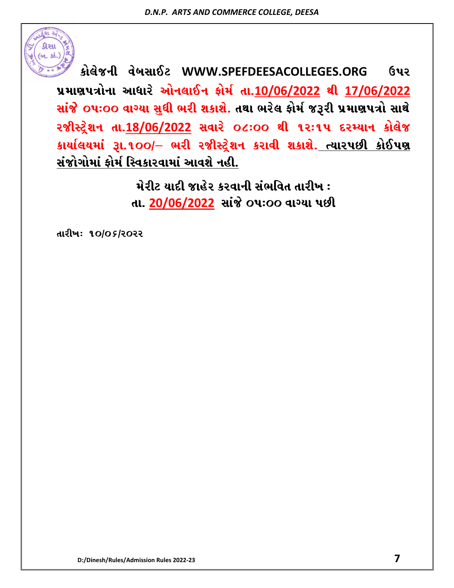

 $\hat{\textbf{s}}$ ોલેજની વેબસાઈટ WWW.SPEFDEESACOLLEGES.ORG ઉપર **5|DF65+MGF VFWFZ[ VMG,F.G OMD" TFP10/06/2022 YL 17/06/2022** સાંજે oપઃ૦૦ વાગ્યા સુધી ભરી શકાશે. તથા ભરેલ **કોર્મ જરૂરી પ્રમાણપત્રો સા**થે  $2\%$ રિટ્રેશન તા.18/06/2022 સવારે **O** .00 થી ૧૨:૧૫ દરમ્યાન કોલેજ કાર્યાલયમાં રૂા.૧૦૦/– ભરી રજીસ્ટ્રેશન કરાવી શકાશે. <u>ત્યારપછી કોઈપણ</u> <u>સંજોગોમાં ફોર્મ સ્વિકારવામાં આવશે નહી.</u>

> <u>મેરીટ યાદી જાહેર કરવાની સંભવિત તારીખ :</u> તા. 20/06/2022 સાંજે o**પ:oo વાગ્યા પછી**

તારીખ: ૧૦/**o** ક/૨૦૨૨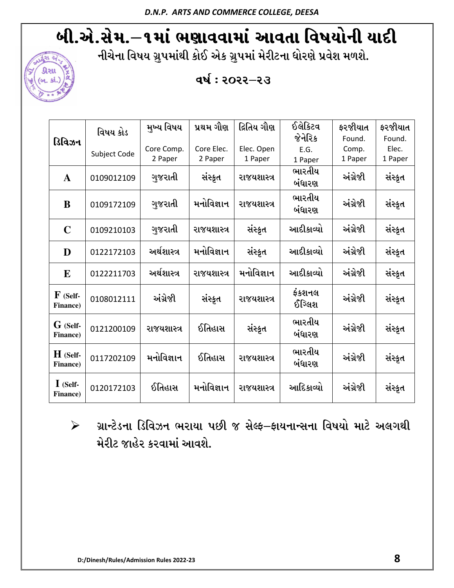# બી.એ.સેમ.–૧માં ભણાવવામાં આવતા વિષયોની યાદી

નીચેના વિષય ગ્રુપમાંથી કોઈ એક ગ્રુપમાં મેરીટના ધોરણે પ્રવેશ મળશે.





| ડિવિઝન                         | વિષય કોડ     | મુખ્ય વિષય  | પ્રથમ ગૌણ   | દ્રિતિય ગૌણ | ઈલેકિટવ          | ફરજીયાત  | ફરજીયાત |
|--------------------------------|--------------|-------------|-------------|-------------|------------------|----------|---------|
|                                |              |             |             |             | જેનેરિક          | Found.   | Found.  |
|                                | Subject Code | Core Comp.  | Core Elec.  | Elec. Open  | E.G.             | Comp.    | Elec.   |
|                                |              | 2 Paper     | 2 Paper     | 1 Paper     | 1 Paper          | 1 Paper  | 1 Paper |
| $\mathbf{A}$                   | 0109012109   | ગુજરાતી     | સંસ્કૃત     | રાજયશાસ્ત્ર | ભારતીય           | અંગ્રેજી | સંસ્કૃત |
|                                |              |             |             |             | બંધારણ           |          |         |
| B                              | 0109172109   | ગુજરાતી     | મનોવિજ્ઞાન  | રાજયશાસ્ત્ર | ભારતીય<br>બંધારણ | અંગ્રેજી | સંસ્કૃત |
| $\mathbf C$                    | 0109210103   | ગુજરાતી     | રાજયશાસ્ત્ર | સંસ્કૃત     | આદીકાવ્યો        | અંગ્રેજી | સંસ્કૃત |
| D                              | 0122172103   | અર્થશાસ્ત્ર | મનોવિજ્ઞાન  | સંસ્કૃત     | આદીકાવ્યો        | અંગ્રેજી | સંસ્કૃત |
| E                              | 0122211703   | અર્થશાસ્ત્ર | રાજયશાસ્ત્ર | મનોવિજ્ઞાન  | આદીકાવ્યો        | અંગ્રેજી | સંસ્કૃત |
| $\mathbf F$ (Self-<br>Finance) | 0108012111   | અંગ્રેજી    | સંસ્ક્રત    | રાજયશાસ્ત્ર | ફંકશનલ<br>ઈગ્લિશ | અંગ્રેજી | સંસ્કૃત |
| G (Self-<br>Finance)           | 0121200109   | રાજયશાસ્ત્ર | ઈતિહાસ      | સંસ્કૃત     | ભારતીય<br>બંધારણ | અંગ્રેજી | સંસ્કૃત |
| $H$ (Self-<br>Finance)         | 0117202109   | મનોવિજ્ઞાન  | ઈતિહાસ      | રાજયશાસ્ત્ર | ભારતીય<br>બંધારણ | અંગ્રેજી | સંસ્કૃત |
| $\mathbf I$ (Self-<br>Finance) | 0120172103   | ઈતિહાસ      | મનોવિજ્ઞાન  | રાજયશાસ્ત્ર | આદિકાવ્યો        | અંગ્રેજી | સંસ્કૃત |

 $\triangleright$  ગ્રાન્ટેડના ડિવિઝન ભરાયા પછી જ સેલ્ફ–ફાયનાન્સના વિષયો માટે અલગથી મેરીટ જાહેર કરવામાં આવશે.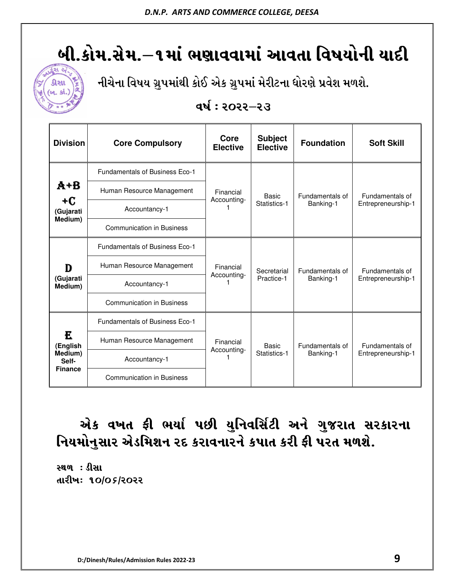# બી.કોમ.સેમ.–૧માં ભણાવવામાં આવતા વિષયોની યાદી



નીચેના વિષય ગ્રુપમાંથી કોઈ એક ગ્રુપમાં મેરીટના ધોરણે પ્રવેશ મળશે.

#### **qર્ષ: ૨૦૨૨–૨૩**

| <b>Division</b>                                     | <b>Core Compulsory</b>                | Core<br><b>Elective</b>  | <b>Subject</b><br><b>Elective</b> | <b>Foundation</b>            | <b>Soft Skill</b>                     |
|-----------------------------------------------------|---------------------------------------|--------------------------|-----------------------------------|------------------------------|---------------------------------------|
| A+B<br>$+C$<br>(Gujarati<br>Medium)                 | <b>Fundamentals of Business Eco-1</b> | Financial<br>Accounting- | Basic<br>Statistics-1             | Fundamentals of<br>Banking-1 | Fundamentals of<br>Entrepreneurship-1 |
|                                                     | Human Resource Management             |                          |                                   |                              |                                       |
|                                                     | Accountancy-1                         |                          |                                   |                              |                                       |
|                                                     | <b>Communication in Business</b>      |                          |                                   |                              |                                       |
| D<br>(Gujarati<br>Medium)                           | Fundamentals of Business Eco-1        |                          | Secretarial<br>Practice-1         | Fundamentals of<br>Banking-1 | Fundamentals of<br>Entrepreneurship-1 |
|                                                     | Human Resource Management             | Financial<br>Accounting- |                                   |                              |                                       |
|                                                     | Accountancy-1                         |                          |                                   |                              |                                       |
|                                                     | <b>Communication in Business</b>      |                          |                                   |                              |                                       |
| E<br>(English<br>Medium)<br>Self-<br><b>Finance</b> | <b>Fundamentals of Business Eco-1</b> | Financial<br>Accounting- | Basic<br>Statistics-1             | Fundamentals of<br>Banking-1 | Fundamentals of<br>Entrepreneurship-1 |
|                                                     | Human Resource Management             |                          |                                   |                              |                                       |
|                                                     | Accountancy-1                         |                          |                                   |                              |                                       |
|                                                     | <b>Communication in Business</b>      |                          |                                   |                              |                                       |

## એક વખત ફી ભર્યા પછી યુનિવર્સિટી અને ગુજરાત સરકારના નિયમોનુસાર એડમિશન રદ કરાવનારને કપાત કરી ફી પરત મળશે.

**સ્થળ : ડીસા** તારીખ: ૧૦/**o** ક/ર૦૨૨